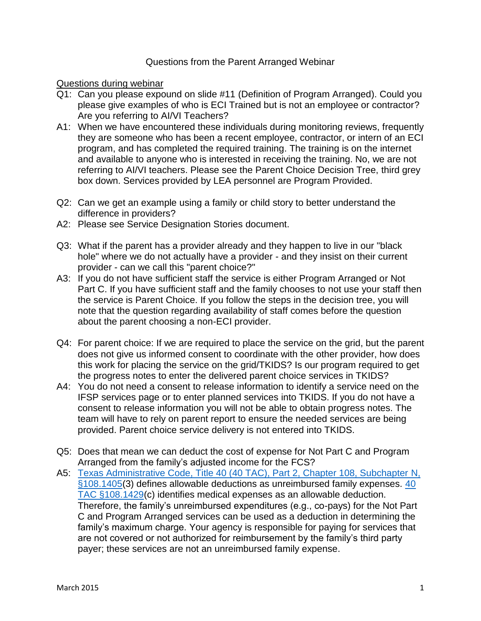## Questions from the Parent Arranged Webinar

## Questions during webinar

- Q1: Can you please expound on slide #11 (Definition of Program Arranged). Could you please give examples of who is ECI Trained but is not an employee or contractor? Are you referring to AI/VI Teachers?
- A1: When we have encountered these individuals during monitoring reviews, frequently they are someone who has been a recent employee, contractor, or intern of an ECI program, and has completed the required training. The training is on the internet and available to anyone who is interested in receiving the training. No, we are not referring to AI/VI teachers. Please see the Parent Choice Decision Tree, third grey box down. Services provided by LEA personnel are Program Provided.
- Q2: Can we get an example using a family or child story to better understand the difference in providers?
- A2: Please see Service Designation Stories document.
- Q3: What if the parent has a provider already and they happen to live in our "black hole" where we do not actually have a provider - and they insist on their current provider - can we call this "parent choice?"
- A3: If you do not have sufficient staff the service is either Program Arranged or Not Part C. If you have sufficient staff and the family chooses to not use your staff then the service is Parent Choice. If you follow the steps in the decision tree, you will note that the question regarding availability of staff comes before the question about the parent choosing a non-ECI provider.
- Q4: For parent choice: If we are required to place the service on the grid, but the parent does not give us informed consent to coordinate with the other provider, how does this work for placing the service on the grid/TKIDS? Is our program required to get the progress notes to enter the delivered parent choice services in TKIDS?
- A4: You do not need a consent to release information to identify a service need on the IFSP services page or to enter planned services into TKIDS. If you do not have a consent to release information you will not be able to obtain progress notes. The team will have to rely on parent report to ensure the needed services are being provided. Parent choice service delivery is not entered into TKIDS.
- Q5: Does that mean we can deduct the cost of expense for Not Part C and Program Arranged from the family's adjusted income for the FCS?
- A5: [Texas Administrative Code, Title 40 \(40 TAC\), Part 2, Chapter 108, Subchapter N,](http://texreg.sos.state.tx.us/public/readtac$ext.TacPage?sl=R&app=9&p_dir=&p_rloc=&p_tloc=&p_ploc=&pg=1&p_tac=&ti=40&pt=2&ch=108&rl=1405)  [§108.1405\(](http://texreg.sos.state.tx.us/public/readtac$ext.TacPage?sl=R&app=9&p_dir=&p_rloc=&p_tloc=&p_ploc=&pg=1&p_tac=&ti=40&pt=2&ch=108&rl=1405)3) defines allowable deductions as unreimbursed family expenses. [40](http://texreg.sos.state.tx.us/public/readtac$ext.TacPage?sl=R&app=9&p_dir=&p_rloc=&p_tloc=&p_ploc=&pg=1&p_tac=&ti=40&pt=2&ch=108&rl=1429)  [TAC §108.1429\(](http://texreg.sos.state.tx.us/public/readtac$ext.TacPage?sl=R&app=9&p_dir=&p_rloc=&p_tloc=&p_ploc=&pg=1&p_tac=&ti=40&pt=2&ch=108&rl=1429)c) identifies medical expenses as an allowable deduction. Therefore, the family's unreimbursed expenditures (e.g., co-pays) for the Not Part C and Program Arranged services can be used as a deduction in determining the family's maximum charge. Your agency is responsible for paying for services that are not covered or not authorized for reimbursement by the family's third party payer; these services are not an unreimbursed family expense.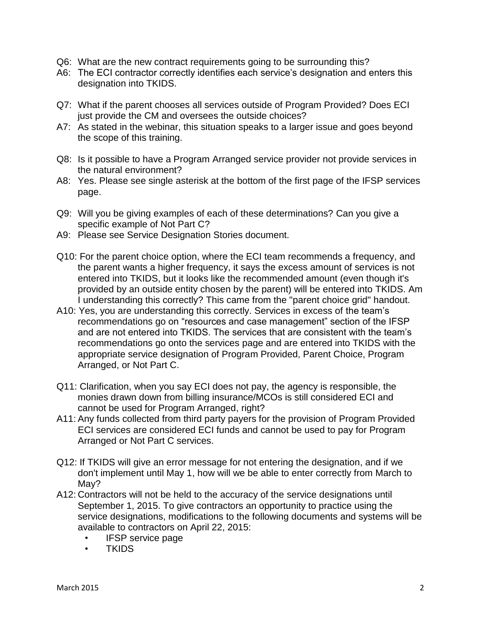- Q6: What are the new contract requirements going to be surrounding this?
- A6: The ECI contractor correctly identifies each service's designation and enters this designation into TKIDS.
- Q7: What if the parent chooses all services outside of Program Provided? Does ECI just provide the CM and oversees the outside choices?
- A7: As stated in the webinar, this situation speaks to a larger issue and goes beyond the scope of this training.
- Q8: Is it possible to have a Program Arranged service provider not provide services in the natural environment?
- A8: Yes. Please see single asterisk at the bottom of the first page of the IFSP services page.
- Q9: Will you be giving examples of each of these determinations? Can you give a specific example of Not Part C?
- A9: Please see Service Designation Stories document.
- Q10: For the parent choice option, where the ECI team recommends a frequency, and the parent wants a higher frequency, it says the excess amount of services is not entered into TKIDS, but it looks like the recommended amount (even though it's provided by an outside entity chosen by the parent) will be entered into TKIDS. Am I understanding this correctly? This came from the "parent choice grid" handout.
- A10: Yes, you are understanding this correctly. Services in excess of the team's recommendations go on "resources and case management" section of the IFSP and are not entered into TKIDS. The services that are consistent with the team's recommendations go onto the services page and are entered into TKIDS with the appropriate service designation of Program Provided, Parent Choice, Program Arranged, or Not Part C.
- Q11: Clarification, when you say ECI does not pay, the agency is responsible, the monies drawn down from billing insurance/MCOs is still considered ECI and cannot be used for Program Arranged, right?
- A11: Any funds collected from third party payers for the provision of Program Provided ECI services are considered ECI funds and cannot be used to pay for Program Arranged or Not Part C services.
- Q12: If TKIDS will give an error message for not entering the designation, and if we don't implement until May 1, how will we be able to enter correctly from March to May?
- A12: Contractors will not be held to the accuracy of the service designations until September 1, 2015. To give contractors an opportunity to practice using the service designations, modifications to the following documents and systems will be available to contractors on April 22, 2015:
	- IFSP service page
	- **TKIDS**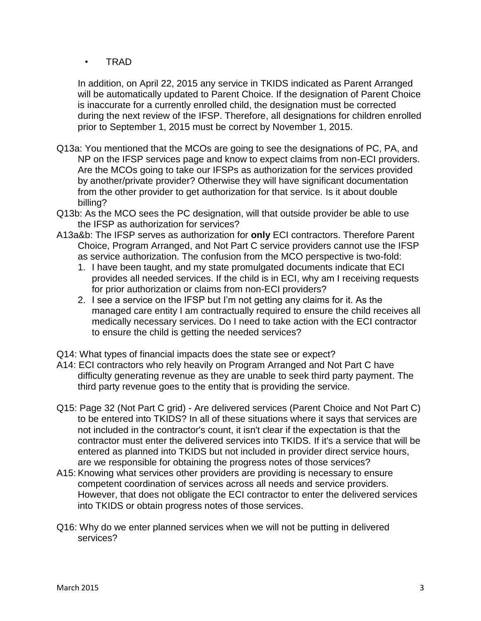• TRAD

In addition, on April 22, 2015 any service in TKIDS indicated as Parent Arranged will be automatically updated to Parent Choice. If the designation of Parent Choice is inaccurate for a currently enrolled child, the designation must be corrected during the next review of the IFSP. Therefore, all designations for children enrolled prior to September 1, 2015 must be correct by November 1, 2015.

- Q13a: You mentioned that the MCOs are going to see the designations of PC, PA, and NP on the IFSP services page and know to expect claims from non-ECI providers. Are the MCOs going to take our IFSPs as authorization for the services provided by another/private provider? Otherwise they will have significant documentation from the other provider to get authorization for that service. Is it about double billing?
- Q13b: As the MCO sees the PC designation, will that outside provider be able to use the IFSP as authorization for services?
- A13a&b: The IFSP serves as authorization for **only** ECI contractors. Therefore Parent Choice, Program Arranged, and Not Part C service providers cannot use the IFSP as service authorization. The confusion from the MCO perspective is two-fold:
	- 1. I have been taught, and my state promulgated documents indicate that ECI provides all needed services. If the child is in ECI, why am I receiving requests for prior authorization or claims from non-ECI providers?
	- 2. I see a service on the IFSP but I'm not getting any claims for it. As the managed care entity I am contractually required to ensure the child receives all medically necessary services. Do I need to take action with the ECI contractor to ensure the child is getting the needed services?
- Q14: What types of financial impacts does the state see or expect?
- A14: ECI contractors who rely heavily on Program Arranged and Not Part C have difficulty generating revenue as they are unable to seek third party payment. The third party revenue goes to the entity that is providing the service.
- Q15: Page 32 (Not Part C grid) Are delivered services (Parent Choice and Not Part C) to be entered into TKIDS? In all of these situations where it says that services are not included in the contractor's count, it isn't clear if the expectation is that the contractor must enter the delivered services into TKIDS. If it's a service that will be entered as planned into TKIDS but not included in provider direct service hours, are we responsible for obtaining the progress notes of those services?
- A15: Knowing what services other providers are providing is necessary to ensure competent coordination of services across all needs and service providers. However, that does not obligate the ECI contractor to enter the delivered services into TKIDS or obtain progress notes of those services.
- Q16: Why do we enter planned services when we will not be putting in delivered services?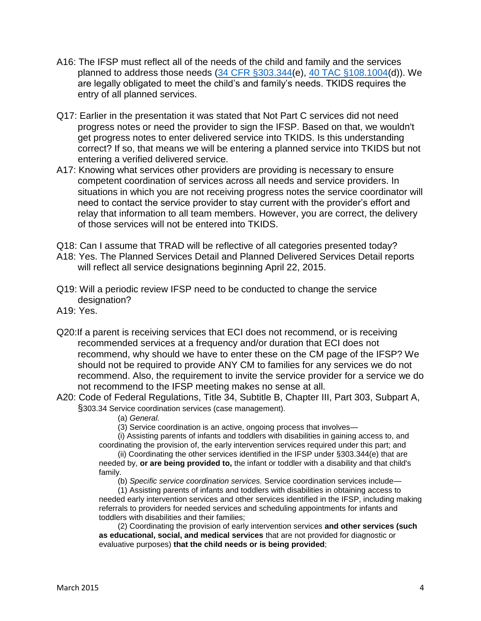- A16: The IFSP must reflect all of the needs of the child and family and the services planned to address those needs [\(34 CFR §303.344\(](http://www.ecfr.gov/cgi-bin/text-idx?SID=ec0372b8e521d4ee193b1c93e98057f6&node=se34.2.303_1344&rgn=div8)e), [40 TAC §108.1004\(](http://texreg.sos.state.tx.us/public/readtac$ext.TacPage?sl=R&app=9&p_dir=&p_rloc=&p_tloc=&p_ploc=&pg=1&p_tac=&ti=40&pt=2&ch=108&rl=1004)d)). We are legally obligated to meet the child's and family's needs. TKIDS requires the entry of all planned services.
- Q17: Earlier in the presentation it was stated that Not Part C services did not need progress notes or need the provider to sign the IFSP. Based on that, we wouldn't get progress notes to enter delivered service into TKIDS. Is this understanding correct? If so, that means we will be entering a planned service into TKIDS but not entering a verified delivered service.
- A17: Knowing what services other providers are providing is necessary to ensure competent coordination of services across all needs and service providers. In situations in which you are not receiving progress notes the service coordinator will need to contact the service provider to stay current with the provider's effort and relay that information to all team members. However, you are correct, the delivery of those services will not be entered into TKIDS.
- Q18: Can I assume that TRAD will be reflective of all categories presented today?
- A18: Yes. The Planned Services Detail and Planned Delivered Services Detail reports will reflect all service designations beginning April 22, 2015.
- Q19: Will a periodic review IFSP need to be conducted to change the service designation?
- A19: Yes.
- Q20:If a parent is receiving services that ECI does not recommend, or is receiving recommended services at a frequency and/or duration that ECI does not recommend, why should we have to enter these on the CM page of the IFSP? We should not be required to provide ANY CM to families for any services we do not recommend. Also, the requirement to invite the service provider for a service we do not recommend to the IFSP meeting makes no sense at all.
- A20: Code of Federal Regulations, Title 34, Subtitle B, Chapter III, Part 303, Subpart A, §303.34 Service coordination services (case management).
	- (a) *General.*
	- (3) Service coordination is an active, ongoing process that involves—

(i) Assisting parents of infants and toddlers with disabilities in gaining access to, and coordinating the provision of, the early intervention services required under this part; and

(ii) Coordinating the other services identified in the IFSP under §303.344(e) that are needed by, **or are being provided to,** the infant or toddler with a disability and that child's family.

(b) *Specific service coordination services.* Service coordination services include—

(1) Assisting parents of infants and toddlers with disabilities in obtaining access to needed early intervention services and other services identified in the IFSP, including making referrals to providers for needed services and scheduling appointments for infants and toddlers with disabilities and their families;

(2) Coordinating the provision of early intervention services **and other services (such as educational, social, and medical services** that are not provided for diagnostic or evaluative purposes) **that the child needs or is being provided**;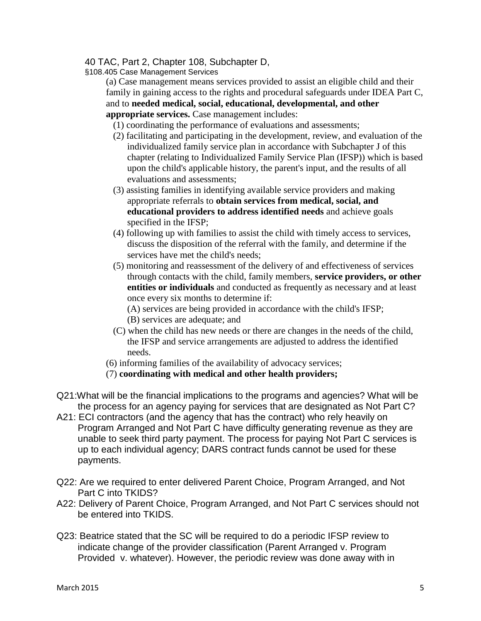## 40 TAC, Part 2, Chapter 108, Subchapter D,

§108.405 Case Management Services

(a) Case management means services provided to assist an eligible child and their family in gaining access to the rights and procedural safeguards under IDEA Part C, and to **needed medical, social, educational, developmental, and other appropriate services.** Case management includes:

(1) coordinating the performance of evaluations and assessments;

- (2) facilitating and participating in the development, review, and evaluation of the individualized family service plan in accordance with Subchapter J of this chapter (relating to Individualized Family Service Plan (IFSP)) which is based upon the child's applicable history, the parent's input, and the results of all evaluations and assessments;
- (3) assisting families in identifying available service providers and making appropriate referrals to **obtain services from medical, social, and educational providers to address identified needs** and achieve goals specified in the IFSP;
- (4) following up with families to assist the child with timely access to services, discuss the disposition of the referral with the family, and determine if the services have met the child's needs;
- (5) monitoring and reassessment of the delivery of and effectiveness of services through contacts with the child, family members, **service providers, or other entities or individuals** and conducted as frequently as necessary and at least once every six months to determine if:
	- (A) services are being provided in accordance with the child's IFSP;
	- (B) services are adequate; and
- (C) when the child has new needs or there are changes in the needs of the child, the IFSP and service arrangements are adjusted to address the identified needs.
- (6) informing families of the availability of advocacy services;
- (7) **coordinating with medical and other health providers;**
- Q21:What will be the financial implications to the programs and agencies? What will be the process for an agency paying for services that are designated as Not Part C?
- A21: ECI contractors (and the agency that has the contract) who rely heavily on Program Arranged and Not Part C have difficulty generating revenue as they are unable to seek third party payment. The process for paying Not Part C services is up to each individual agency; DARS contract funds cannot be used for these payments.
- Q22: Are we required to enter delivered Parent Choice, Program Arranged, and Not Part C into TKIDS?
- A22: Delivery of Parent Choice, Program Arranged, and Not Part C services should not be entered into TKIDS.
- Q23: Beatrice stated that the SC will be required to do a periodic IFSP review to indicate change of the provider classification (Parent Arranged v. Program Provided v. whatever). However, the periodic review was done away with in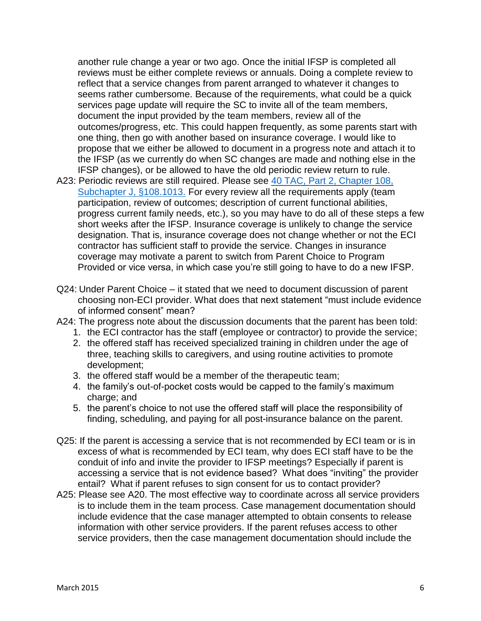another rule change a year or two ago. Once the initial IFSP is completed all reviews must be either complete reviews or annuals. Doing a complete review to reflect that a service changes from parent arranged to whatever it changes to seems rather cumbersome. Because of the requirements, what could be a quick services page update will require the SC to invite all of the team members, document the input provided by the team members, review all of the outcomes/progress, etc. This could happen frequently, as some parents start with one thing, then go with another based on insurance coverage. I would like to propose that we either be allowed to document in a progress note and attach it to the IFSP (as we currently do when SC changes are made and nothing else in the IFSP changes), or be allowed to have the old periodic review return to rule.

- A23: Periodic reviews are still required. Please see 40 TAC, Part 2, Chapter 108, [Subchapter J, §108.1013.](http://texreg.sos.state.tx.us/public/readtac$ext.TacPage?sl=R&app=9&p_dir=&p_rloc=&p_tloc=&p_ploc=&pg=1&p_tac=&ti=40&pt=2&ch=108&rl=1013) For every review all the requirements apply (team participation, review of outcomes; description of current functional abilities, progress current family needs, etc.), so you may have to do all of these steps a few short weeks after the IFSP. Insurance coverage is unlikely to change the service designation. That is, insurance coverage does not change whether or not the ECI contractor has sufficient staff to provide the service. Changes in insurance coverage may motivate a parent to switch from Parent Choice to Program Provided or vice versa, in which case you're still going to have to do a new IFSP.
- Q24: Under Parent Choice it stated that we need to document discussion of parent choosing non-ECI provider. What does that next statement "must include evidence of informed consent" mean?
- A24: The progress note about the discussion documents that the parent has been told:
	- 1. the ECI contractor has the staff (employee or contractor) to provide the service;
	- 2. the offered staff has received specialized training in children under the age of three, teaching skills to caregivers, and using routine activities to promote development;
	- 3. the offered staff would be a member of the therapeutic team;
	- 4. the family's out-of-pocket costs would be capped to the family's maximum charge; and
	- 5. the parent's choice to not use the offered staff will place the responsibility of finding, scheduling, and paying for all post-insurance balance on the parent.
- Q25: If the parent is accessing a service that is not recommended by ECI team or is in excess of what is recommended by ECI team, why does ECI staff have to be the conduit of info and invite the provider to IFSP meetings? Especially if parent is accessing a service that is not evidence based? What does "inviting" the provider entail? What if parent refuses to sign consent for us to contact provider?
- A25: Please see A20. The most effective way to coordinate across all service providers is to include them in the team process. Case management documentation should include evidence that the case manager attempted to obtain consents to release information with other service providers. If the parent refuses access to other service providers, then the case management documentation should include the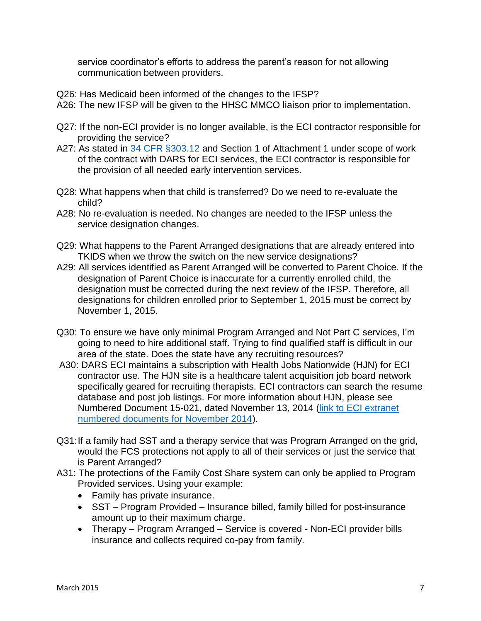service coordinator's efforts to address the parent's reason for not allowing communication between providers.

- Q26: Has Medicaid been informed of the changes to the IFSP?
- A26: The new IFSP will be given to the HHSC MMCO liaison prior to implementation.
- Q27: If the non-ECI provider is no longer available, is the ECI contractor responsible for providing the service?
- A27: As stated in [34 CFR §303.12](http://www.ecfr.gov/cgi-bin/retrieveECFR?gp=&SID=ec0372b8e521d4ee193b1c93e98057f6&n=pt34.2.303&r=PART&ty=HTML#se34.2.303_112) and Section 1 of Attachment 1 under scope of work of the contract with DARS for ECI services, the ECI contractor is responsible for the provision of all needed early intervention services.
- Q28: What happens when that child is transferred? Do we need to re-evaluate the child?
- A28: No re-evaluation is needed. No changes are needed to the IFSP unless the service designation changes.
- Q29: What happens to the Parent Arranged designations that are already entered into TKIDS when we throw the switch on the new service designations?
- A29: All services identified as Parent Arranged will be converted to Parent Choice. If the designation of Parent Choice is inaccurate for a currently enrolled child, the designation must be corrected during the next review of the IFSP. Therefore, all designations for children enrolled prior to September 1, 2015 must be correct by November 1, 2015.
- Q30: To ensure we have only minimal Program Arranged and Not Part C services, I'm going to need to hire additional staff. Trying to find qualified staff is difficult in our area of the state. Does the state have any recruiting resources?
- A30: DARS ECI maintains a subscription with Health Jobs Nationwide (HJN) for ECI contractor use. The HJN site is a healthcare talent acquisition job board network specifically geared for recruiting therapists. ECI contractors can search the resume database and post job listings. For more information about HJN, please see Numbered Document 15-021, dated November 13, 2014 [\(link to ECI extranet](http://dars0emoss/Numbered%20Documents/Forms/AllItems.aspx?RootFolder=%2fNumbered%20Documents%2fFY%202015%2fNovember%202014&FolderCTID=&View=%7bD2D84299%2d4AFA%2d4597%2dBDE8%2dC382B0FF2BC2%7d)  [numbered documents for November 2014\)](http://dars0emoss/Numbered%20Documents/Forms/AllItems.aspx?RootFolder=%2fNumbered%20Documents%2fFY%202015%2fNovember%202014&FolderCTID=&View=%7bD2D84299%2d4AFA%2d4597%2dBDE8%2dC382B0FF2BC2%7d).
- Q31:If a family had SST and a therapy service that was Program Arranged on the grid, would the FCS protections not apply to all of their services or just the service that is Parent Arranged?
- A31: The protections of the Family Cost Share system can only be applied to Program Provided services. Using your example:
	- Family has private insurance.
	- SST Program Provided Insurance billed, family billed for post-insurance amount up to their maximum charge.
	- Therapy Program Arranged Service is covered Non-ECI provider bills insurance and collects required co-pay from family.